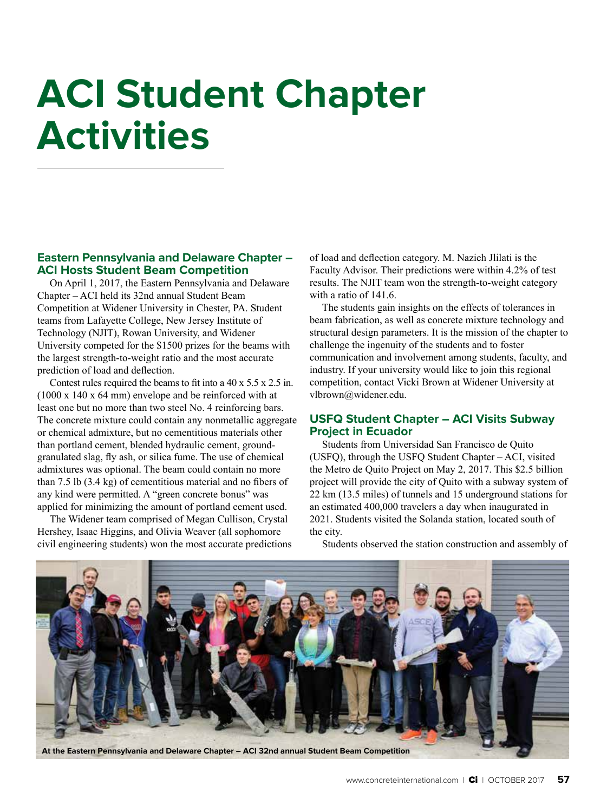# **ACI Student Chapter Activities**

#### **Eastern Pennsylvania and Delaware Chapter – ACI Hosts Student Beam Competition**

On April 1, 2017, the Eastern Pennsylvania and Delaware Chapter – ACI held its 32nd annual Student Beam Competition at Widener University in Chester, PA. Student teams from Lafayette College, New Jersey Institute of Technology (NJIT), Rowan University, and Widener University competed for the \$1500 prizes for the beams with the largest strength-to-weight ratio and the most accurate prediction of load and deflection.

Contest rules required the beams to fit into a 40 x 5.5 x 2.5 in. (1000 x 140 x 64 mm) envelope and be reinforced with at least one but no more than two steel No. 4 reinforcing bars. The concrete mixture could contain any nonmetallic aggregate or chemical admixture, but no cementitious materials other than portland cement, blended hydraulic cement, groundgranulated slag, fly ash, or silica fume. The use of chemical admixtures was optional. The beam could contain no more than 7.5 lb (3.4 kg) of cementitious material and no fibers of any kind were permitted. A "green concrete bonus" was applied for minimizing the amount of portland cement used.

The Widener team comprised of Megan Cullison, Crystal Hershey, Isaac Higgins, and Olivia Weaver (all sophomore civil engineering students) won the most accurate predictions of load and deflection category. M. Nazieh Jlilati is the Faculty Advisor. Their predictions were within 4.2% of test results. The NJIT team won the strength-to-weight category with a ratio of 141.6.

The students gain insights on the effects of tolerances in beam fabrication, as well as concrete mixture technology and structural design parameters. It is the mission of the chapter to challenge the ingenuity of the students and to foster communication and involvement among students, faculty, and industry. If your university would like to join this regional competition, contact Vicki Brown at Widener University at vlbrown@widener.edu.

### **USFQ Student Chapter – ACI Visits Subway Project in Ecuador**

Students from Universidad San Francisco de Quito (USFQ), through the USFQ Student Chapter – ACI, visited the Metro de Quito Project on May 2, 2017. This \$2.5 billion project will provide the city of Quito with a subway system of 22 km (13.5 miles) of tunnels and 15 underground stations for an estimated 400,000 travelers a day when inaugurated in 2021. Students visited the Solanda station, located south of the city.



Students observed the station construction and assembly of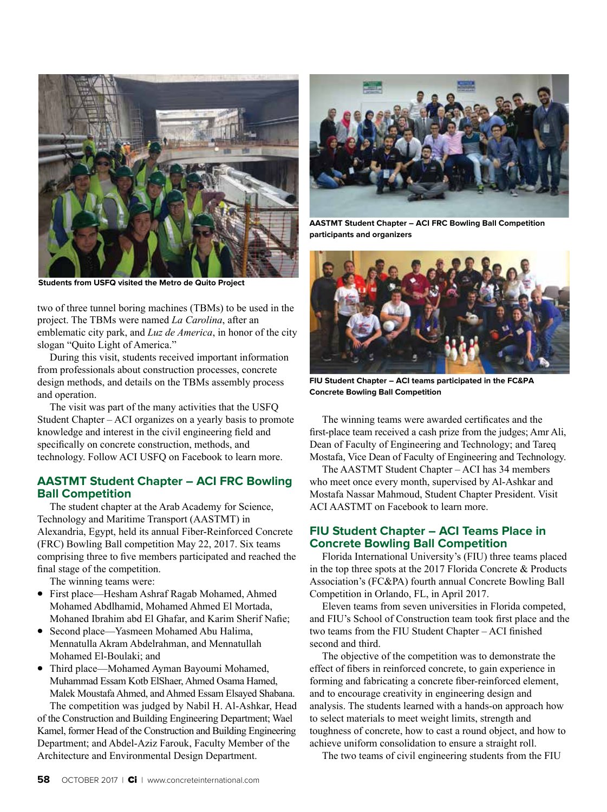

**Students from USFQ visited the Metro de Quito Project**

two of three tunnel boring machines (TBMs) to be used in the project. The TBMs were named *La Carolina*, after an emblematic city park, and *Luz de America*, in honor of the city slogan "Quito Light of America."

During this visit, students received important information from professionals about construction processes, concrete design methods, and details on the TBMs assembly process and operation.

The visit was part of the many activities that the USFQ Student Chapter – ACI organizes on a yearly basis to promote knowledge and interest in the civil engineering field and specifically on concrete construction, methods, and technology. Follow ACI USFQ on Facebook to learn more.

#### **AASTMT Student Chapter – ACI FRC Bowling Ball Competition**

The student chapter at the Arab Academy for Science, Technology and Maritime Transport (AASTMT) in Alexandria, Egypt, held its annual Fiber-Reinforced Concrete (FRC) Bowling Ball competition May 22, 2017. Six teams comprising three to five members participated and reached the final stage of the competition.

The winning teams were:

- First place—Hesham Ashraf Ragab Mohamed, Ahmed Mohamed Abdlhamid, Mohamed Ahmed El Mortada, Mohaned Ibrahim abd El Ghafar, and Karim Sherif Nafie;
- Second place—Yasmeen Mohamed Abu Halima, Mennatulla Akram Abdelrahman, and Mennatullah Mohamed El-Boulaki; and
- Third place—Mohamed Ayman Bayoumi Mohamed, Muhammad Essam Kotb ElShaer, Ahmed Osama Hamed, Malek Moustafa Ahmed, and Ahmed Essam Elsayed Shabana.

The competition was judged by Nabil H. Al-Ashkar, Head of the Construction and Building Engineering Department; Wael Kamel, former Head of the Construction and Building Engineering Department; and Abdel-Aziz Farouk, Faculty Member of the Architecture and Environmental Design Department.



**AASTMT Student Chapter – ACI FRC Bowling Ball Competition participants and organizers** 



**FIU Student Chapter – ACI teams participated in the FC&PA Concrete Bowling Ball Competition**

The winning teams were awarded certificates and the first-place team received a cash prize from the judges; Amr Ali, Dean of Faculty of Engineering and Technology; and Tareq Mostafa, Vice Dean of Faculty of Engineering and Technology.

The AASTMT Student Chapter – ACI has 34 members who meet once every month, supervised by Al-Ashkar and Mostafa Nassar Mahmoud, Student Chapter President. Visit ACI AASTMT on Facebook to learn more.

#### **FIU Student Chapter – ACI Teams Place in Concrete Bowling Ball Competition**

Florida International University's (FIU) three teams placed in the top three spots at the 2017 Florida Concrete & Products Association's (FC&PA) fourth annual Concrete Bowling Ball Competition in Orlando, FL, in April 2017.

Eleven teams from seven universities in Florida competed, and FIU's School of Construction team took first place and the two teams from the FIU Student Chapter – ACI finished second and third.

The objective of the competition was to demonstrate the effect of fibers in reinforced concrete, to gain experience in forming and fabricating a concrete fiber-reinforced element, and to encourage creativity in engineering design and analysis. The students learned with a hands-on approach how to select materials to meet weight limits, strength and toughness of concrete, how to cast a round object, and how to achieve uniform consolidation to ensure a straight roll.

The two teams of civil engineering students from the FIU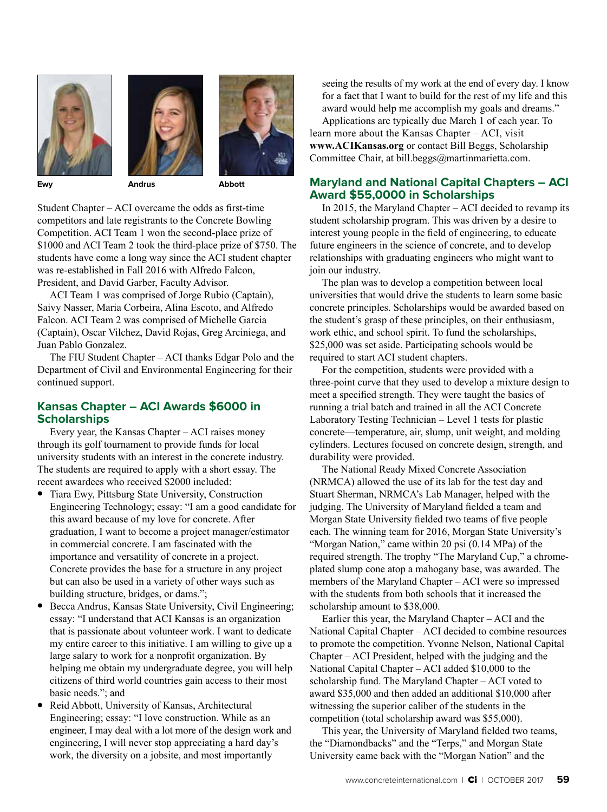





**Ewy Andrus Abbott**

Student Chapter – ACI overcame the odds as first-time competitors and late registrants to the Concrete Bowling Competition. ACI Team 1 won the second-place prize of \$1000 and ACI Team 2 took the third-place prize of \$750. The students have come a long way since the ACI student chapter was re-established in Fall 2016 with Alfredo Falcon, President, and David Garber, Faculty Advisor.

ACI Team 1 was comprised of Jorge Rubio (Captain), Saivy Nasser, Maria Corbeira, Alina Escoto, and Alfredo Falcon. ACI Team 2 was comprised of Michelle Garcia (Captain), Oscar Vilchez, David Rojas, Greg Arciniega, and Juan Pablo Gonzalez.

The FIU Student Chapter – ACI thanks Edgar Polo and the Department of Civil and Environmental Engineering for their continued support.

## **Kansas Chapter – ACI Awards \$6000 in Scholarships**

Every year, the Kansas Chapter – ACI raises money through its golf tournament to provide funds for local university students with an interest in the concrete industry. The students are required to apply with a short essay. The recent awardees who received \$2000 included:

- Tiara Ewy, Pittsburg State University, Construction Engineering Technology; essay: "I am a good candidate for this award because of my love for concrete. After graduation, I want to become a project manager/estimator in commercial concrete. I am fascinated with the importance and versatility of concrete in a project. Concrete provides the base for a structure in any project but can also be used in a variety of other ways such as building structure, bridges, or dams.";
- Becca Andrus, Kansas State University, Civil Engineering; essay: "I understand that ACI Kansas is an organization that is passionate about volunteer work. I want to dedicate my entire career to this initiative. I am willing to give up a large salary to work for a nonprofit organization. By helping me obtain my undergraduate degree, you will help citizens of third world countries gain access to their most basic needs."; and
- Reid Abbott, University of Kansas, Architectural Engineering; essay: "I love construction. While as an engineer, I may deal with a lot more of the design work and engineering, I will never stop appreciating a hard day's work, the diversity on a jobsite, and most importantly

seeing the results of my work at the end of every day. I know for a fact that I want to build for the rest of my life and this award would help me accomplish my goals and dreams."

Applications are typically due March 1 of each year. To learn more about the Kansas Chapter – ACI, visit **www.ACIKansas.org** or contact Bill Beggs, Scholarship Committee Chair, at bill.beggs@martinmarietta.com.

### **Maryland and National Capital Chapters – ACI Award \$55,0000 in Scholarships**

In 2015, the Maryland Chapter – ACI decided to revamp its student scholarship program. This was driven by a desire to interest young people in the field of engineering, to educate future engineers in the science of concrete, and to develop relationships with graduating engineers who might want to join our industry.

The plan was to develop a competition between local universities that would drive the students to learn some basic concrete principles. Scholarships would be awarded based on the student's grasp of these principles, on their enthusiasm, work ethic, and school spirit. To fund the scholarships, \$25,000 was set aside. Participating schools would be required to start ACI student chapters.

For the competition, students were provided with a three-point curve that they used to develop a mixture design to meet a specified strength. They were taught the basics of running a trial batch and trained in all the ACI Concrete Laboratory Testing Technician – Level 1 tests for plastic concrete—temperature, air, slump, unit weight, and molding cylinders. Lectures focused on concrete design, strength, and durability were provided.

The National Ready Mixed Concrete Association (NRMCA) allowed the use of its lab for the test day and Stuart Sherman, NRMCA's Lab Manager, helped with the judging. The University of Maryland fielded a team and Morgan State University fielded two teams of five people each. The winning team for 2016, Morgan State University's "Morgan Nation," came within 20 psi (0.14 MPa) of the required strength. The trophy "The Maryland Cup," a chromeplated slump cone atop a mahogany base, was awarded. The members of the Maryland Chapter – ACI were so impressed with the students from both schools that it increased the scholarship amount to \$38,000.

Earlier this year, the Maryland Chapter – ACI and the National Capital Chapter – ACI decided to combine resources to promote the competition. Yvonne Nelson, National Capital Chapter – ACI President, helped with the judging and the National Capital Chapter – ACI added \$10,000 to the scholarship fund. The Maryland Chapter – ACI voted to award \$35,000 and then added an additional \$10,000 after witnessing the superior caliber of the students in the competition (total scholarship award was \$55,000).

This year, the University of Maryland fielded two teams, the "Diamondbacks" and the "Terps," and Morgan State University came back with the "Morgan Nation" and the

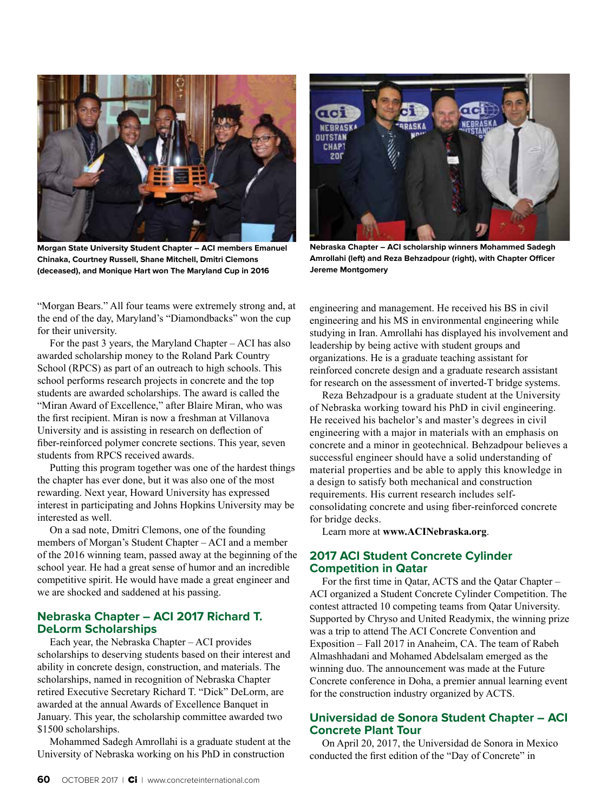

**Morgan State University Student Chapter – ACI members Emanuel Chinaka, Courtney Russell, Shane Mitchell, Dmitri Clemons (deceased), and Monique Hart won The Maryland Cup in 2016**

"Morgan Bears." All four teams were extremely strong and, at the end of the day, Maryland's "Diamondbacks" won the cup for their university.

For the past 3 years, the Maryland Chapter – ACI has also awarded scholarship money to the Roland Park Country School (RPCS) as part of an outreach to high schools. This school performs research projects in concrete and the top students are awarded scholarships. The award is called the "Miran Award of Excellence," after Blaire Miran, who was the first recipient. Miran is now a freshman at Villanova University and is assisting in research on deflection of fiber-reinforced polymer concrete sections. This year, seven students from RPCS received awards.

Putting this program together was one of the hardest things the chapter has ever done, but it was also one of the most rewarding. Next year, Howard University has expressed interest in participating and Johns Hopkins University may be interested as well.

On a sad note, Dmitri Clemons, one of the founding members of Morgan's Student Chapter – ACI and a member of the 2016 winning team, passed away at the beginning of the school year. He had a great sense of humor and an incredible competitive spirit. He would have made a great engineer and we are shocked and saddened at his passing.

### **Nebraska Chapter – ACI 2017 Richard T. DeLorm Scholarships**

Each year, the Nebraska Chapter – ACI provides scholarships to deserving students based on their interest and ability in concrete design, construction, and materials. The scholarships, named in recognition of Nebraska Chapter retired Executive Secretary Richard T. "Dick" DeLorm, are awarded at the annual Awards of Excellence Banquet in January. This year, the scholarship committee awarded two \$1500 scholarships.

Mohammed Sadegh Amrollahi is a graduate student at the University of Nebraska working on his PhD in construction



**Nebraska Chapter – ACI scholarship winners Mohammed Sadegh Amrollahi (left) and Reza Behzadpour (right), with Chapter Officer Jereme Montgomery**

engineering and management. He received his BS in civil engineering and his MS in environmental engineering while studying in Iran. Amrollahi has displayed his involvement and leadership by being active with student groups and organizations. He is a graduate teaching assistant for reinforced concrete design and a graduate research assistant for research on the assessment of inverted-T bridge systems.

Reza Behzadpour is a graduate student at the University of Nebraska working toward his PhD in civil engineering. He received his bachelor's and master's degrees in civil engineering with a major in materials with an emphasis on concrete and a minor in geotechnical. Behzadpour believes a successful engineer should have a solid understanding of material properties and be able to apply this knowledge in a design to satisfy both mechanical and construction requirements. His current research includes selfconsolidating concrete and using fiber-reinforced concrete for bridge decks.

Learn more at **www.ACINebraska.org**.

### **2017 ACI Student Concrete Cylinder Competition in Qatar**

For the first time in Qatar, ACTS and the Qatar Chapter – ACI organized a Student Concrete Cylinder Competition. The contest attracted 10 competing teams from Qatar University. Supported by Chryso and United Readymix, the winning prize was a trip to attend The ACI Concrete Convention and Exposition – Fall 2017 in Anaheim, CA. The team of Rabeh Almashhadani and Mohamed Abdelsalam emerged as the winning duo. The announcement was made at the Future Concrete conference in Doha, a premier annual learning event for the construction industry organized by ACTS.

### **Universidad de Sonora Student Chapter – ACI Concrete Plant Tour**

On April 20, 2017, the Universidad de Sonora in Mexico conducted the first edition of the "Day of Concrete" in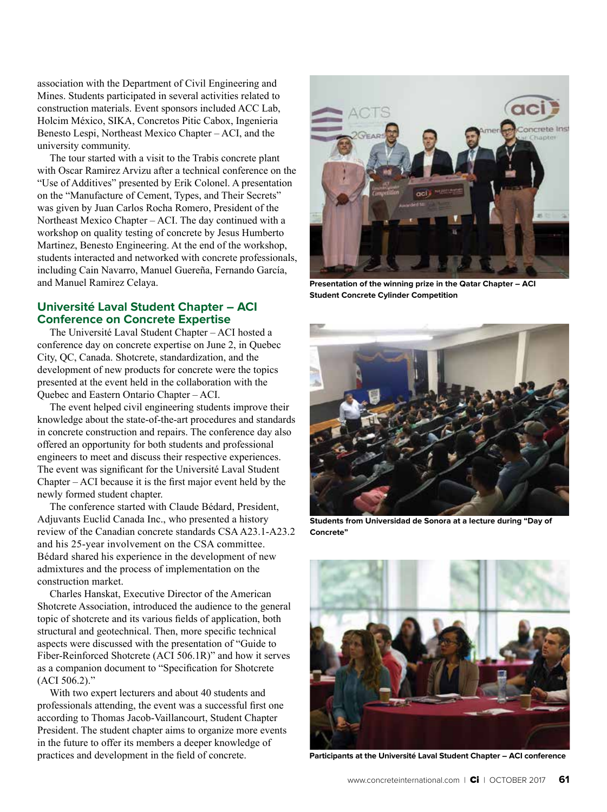association with the Department of Civil Engineering and Mines. Students participated in several activities related to construction materials. Event sponsors included ACC Lab, Holcim México, SIKA, Concretos Pitic Cabox, Ingenieria Benesto Lespi, Northeast Mexico Chapter – ACI, and the university community.

The tour started with a visit to the Trabis concrete plant with Oscar Ramirez Arvizu after a technical conference on the "Use of Additives" presented by Erik Colonel. A presentation on the "Manufacture of Cement, Types, and Their Secrets" was given by Juan Carlos Rocha Romero, President of the Northeast Mexico Chapter – ACI. The day continued with a workshop on quality testing of concrete by Jesus Humberto Martinez, Benesto Engineering. At the end of the workshop, students interacted and networked with concrete professionals, including Cain Navarro, Manuel Guereña, Fernando García, and Manuel Ramirez Celaya.

#### **Université Laval Student Chapter – ACI Conference on Concrete Expertise**

The Université Laval Student Chapter – ACI hosted a conference day on concrete expertise on June 2, in Quebec City, QC, Canada. Shotcrete, standardization, and the development of new products for concrete were the topics presented at the event held in the collaboration with the Quebec and Eastern Ontario Chapter – ACI.

The event helped civil engineering students improve their knowledge about the state-of-the-art procedures and standards in concrete construction and repairs. The conference day also offered an opportunity for both students and professional engineers to meet and discuss their respective experiences. The event was significant for the Université Laval Student Chapter – ACI because it is the first major event held by the newly formed student chapter.

The conference started with Claude Bédard, President, Adjuvants Euclid Canada Inc., who presented a history review of the Canadian concrete standards CSA A23.1-A23.2 and his 25-year involvement on the CSA committee. Bédard shared his experience in the development of new admixtures and the process of implementation on the construction market.

Charles Hanskat, Executive Director of the American Shotcrete Association, introduced the audience to the general topic of shotcrete and its various fields of application, both structural and geotechnical. Then, more specific technical aspects were discussed with the presentation of "Guide to Fiber-Reinforced Shotcrete (ACI 506.1R)" and how it serves as a companion document to "Specification for Shotcrete (ACI 506.2)."

With two expert lecturers and about 40 students and professionals attending, the event was a successful first one according to Thomas Jacob-Vaillancourt, Student Chapter President. The student chapter aims to organize more events in the future to offer its members a deeper knowledge of practices and development in the field of concrete.



**Presentation of the winning prize in the Qatar Chapter – ACI Student Concrete Cylinder Competition**



**Students from Universidad de Sonora at a lecture during "Day of Concrete"**



**Participants at the Université Laval Student Chapter – ACI conference**